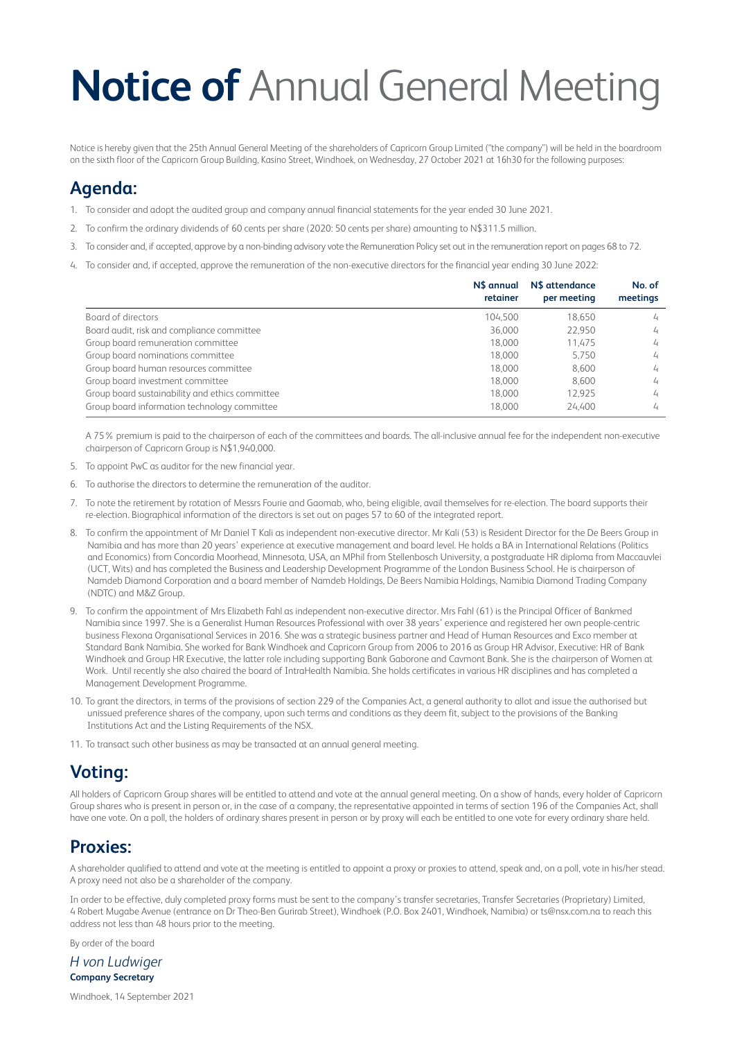## **Notice of** Annual General Meeting

Notice is hereby given that the 25th Annual General Meeting of the shareholders of Capricorn Group Limited ("the company") will be held in the boardroom on the sixth floor of the Capricorn Group Building, Kasino Street, Windhoek, on Wednesday, 27 October 2021 at 16h30 for the following purposes:

## **Agenda:**

- 1. To consider and adopt the audited group and company annual financial statements for the year ended 30 June 2021.
- 2. To confirm the ordinary dividends of 60 cents per share (2020: 50 cents per share) amounting to N\$311.5 million.
- 3. To consider and, if accepted, approve by a non-binding advisory vote the Remuneration Policy set out in the remuneration report on pages 68 to 72.
- 4. To consider and, if accepted, approve the remuneration of the non-executive directors for the financial year ending 30 June 2022:

|                                                 | N\$ annual<br>retainer | N\$ attendance<br>per meeting | No. of<br>meetings |
|-------------------------------------------------|------------------------|-------------------------------|--------------------|
| Board of directors                              | 104.500                | 18.650                        | 4                  |
| Board audit, risk and compliance committee      | 36,000                 | 22.950                        | 4                  |
| Group board remuneration committee              | 18,000                 | 11.475                        | 4                  |
| Group board nominations committee               | 18,000                 | 5.750                         | 4                  |
| Group board human resources committee           | 18,000                 | 8.600                         | 4                  |
| Group board investment committee                | 18,000                 | 8.600                         | $\overline{4}$     |
| Group board sustainability and ethics committee | 18,000                 | 12.925                        | 4                  |
| Group board information technology committee    | 18,000                 | 24.400                        | 4                  |

A 75% premium is paid to the chairperson of each of the committees and boards. The all-inclusive annual fee for the independent non-executive chairperson of Capricorn Group is N\$1,940,000.

- 5. To appoint PwC as auditor for the new financial year.
- 6. To authorise the directors to determine the remuneration of the auditor.
- 7. To note the retirement by rotation of Messrs Fourie and Gaomab, who, being eligible, avail themselves for re-election. The board supports their re-election. Biographical information of the directors is set out on pages 57 to 60 of the integrated report.
- 8. To confirm the appointment of Mr Daniel T Kali as independent non-executive director. Mr Kali (53) is Resident Director for the De Beers Group in Namibia and has more than 20 years' experience at executive management and board level. He holds a BA in International Relations (Politics and Economics) from Concordia Moorhead, Minnesota, USA, an MPhil from Stellenbosch University, a postgraduate HR diploma from Maccauvlei (UCT, Wits) and has completed the Business and Leadership Development Programme of the London Business School. He is chairperson of Namdeb Diamond Corporation and a board member of Namdeb Holdings, De Beers Namibia Holdings, Namibia Diamond Trading Company (NDTC) and M&Z Group.
- 9. To confirm the appointment of Mrs Elizabeth Fahl as independent non-executive director. Mrs Fahl (61) is the Principal Officer of Bankmed Namibia since 1997. She is a Generalist Human Resources Professional with over 38 years' experience and registered her own people-centric business Flexona Organisational Services in 2016. She was a strategic business partner and Head of Human Resources and Exco member at Standard Bank Namibia. She worked for Bank Windhoek and Capricorn Group from 2006 to 2016 as Group HR Advisor, Executive: HR of Bank Windhoek and Group HR Executive, the latter role including supporting Bank Gaborone and Cavmont Bank. She is the chairperson of Women at Work. Until recently she also chaired the board of IntraHealth Namibia. She holds certificates in various HR disciplines and has completed a Management Development Programme.
- 10. To grant the directors, in terms of the provisions of section 229 of the Companies Act, a general authority to allot and issue the authorised but unissued preference shares of the company, upon such terms and conditions as they deem fit, subject to the provisions of the Banking Institutions Act and the Listing Requirements of the NSX.
- 11. To transact such other business as may be transacted at an annual general meeting.

## **Voting:**

All holders of Capricorn Group shares will be entitled to attend and vote at the annual general meeting. On a show of hands, every holder of Capricorn Group shares who is present in person or, in the case of a company, the representative appointed in terms of section 196 of the Companies Act, shall have one vote. On a poll, the holders of ordinary shares present in person or by proxy will each be entitled to one vote for every ordinary share held.

#### **Proxies:**

A shareholder qualified to attend and vote at the meeting is entitled to appoint a proxy or proxies to attend, speak and, on a poll, vote in his/her stead. A proxy need not also be a shareholder of the company.

In order to be effective, duly completed proxy forms must be sent to the company's transfer secretaries, Transfer Secretaries (Proprietary) Limited, 4 Robert Mugabe Avenue (entrance on Dr Theo-Ben Gurirab Street), Windhoek (P.O. Box 2401, Windhoek, Namibia) or ts@nsx.com.na to reach this address not less than 48 hours prior to the meeting.

By order of the board

*H von Ludwiger* **Company Secretary**

Windhoek, 14 September 2021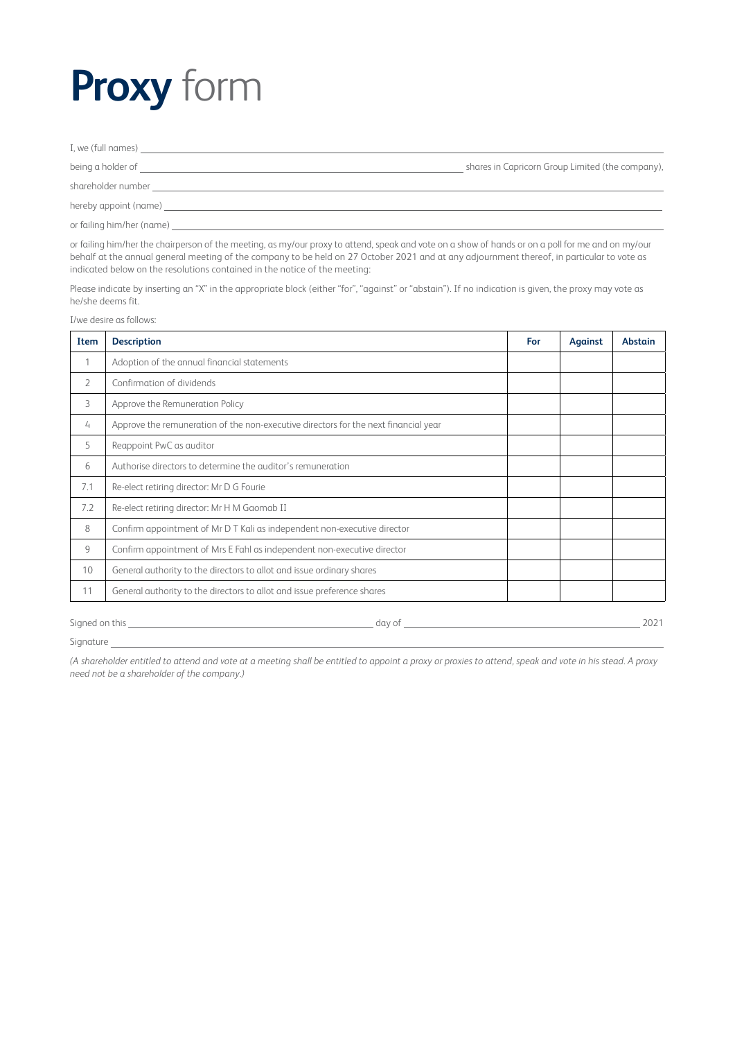# **Proxy** form

| I, we (full names)                                                  |                                                  |
|---------------------------------------------------------------------|--------------------------------------------------|
| being a holder of                                                   | shares in Capricorn Group Limited (the company), |
| shareholder number and the shareholder                              |                                                  |
| hereby appoint (name) hereby appoint (name)                         |                                                  |
| or failing him/her (name) and the control of failing him/her (name) |                                                  |

or failing him/her the chairperson of the meeting, as my/our proxy to attend, speak and vote on a show of hands or on a poll for me and on my/our behalf at the annual general meeting of the company to be held on 27 October 2021 and at any adjournment thereof, in particular to vote as indicated below on the resolutions contained in the notice of the meeting:

Please indicate by inserting an "X" in the appropriate block (either "for", "against" or "abstain"). If no indication is given, the proxy may vote as he/she deems fit.

I/we desire as follows:

| Item           | <b>Description</b>                                                                  | For | <b>Against</b> | <b>Abstain</b> |
|----------------|-------------------------------------------------------------------------------------|-----|----------------|----------------|
| 1              | Adoption of the annual financial statements                                         |     |                |                |
| $\overline{2}$ | Confirmation of dividends                                                           |     |                |                |
| 3              | Approve the Remuneration Policy                                                     |     |                |                |
| 4              | Approve the remuneration of the non-executive directors for the next financial year |     |                |                |
| 5              | Reappoint PwC as auditor                                                            |     |                |                |
| 6              | Authorise directors to determine the auditor's remuneration                         |     |                |                |
| 7.1            | Re-elect retiring director: Mr D G Fourie                                           |     |                |                |
| 7.2            | Re-elect retiring director: Mr H M Gaomab II                                        |     |                |                |
| 8              | Confirm appointment of Mr D T Kali as independent non-executive director            |     |                |                |
| 9              | Confirm appointment of Mrs E Fahl as independent non-executive director             |     |                |                |
| 10             | General authority to the directors to allot and issue ordinary shares               |     |                |                |
| 11             | General authority to the directors to allot and issue preference shares             |     |                |                |
| Signed on this | day of                                                                              |     |                | 2021           |

Signature

*(A shareholder entitled to attend and vote at a meeting shall be entitled to appoint a proxy or proxies to attend, speak and vote in his stead. A proxy need not be a shareholder of the company.)*